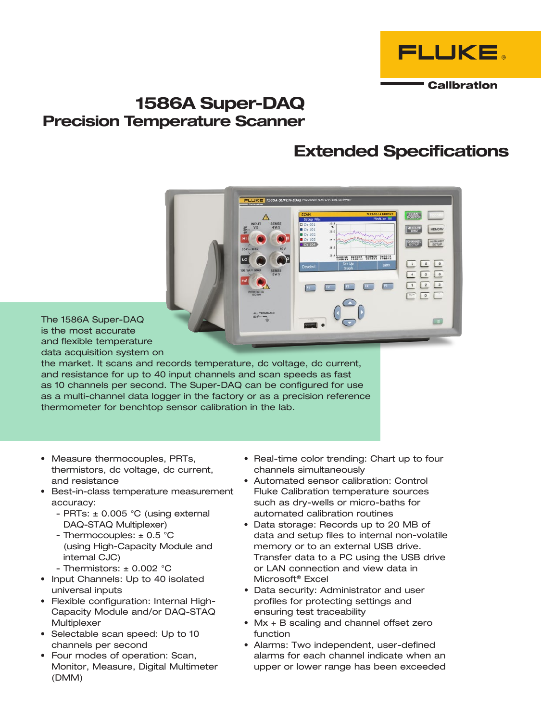

# 1586A Super-DAQ Precision Temperature Scanner

# Extended Specifications

 $\begin{tabular}{|c|c|c|c|c|} \hline \rule{0.2cm}{.04cm} \rule{0.2cm}{.04cm} \rule{0.2cm}{.04cm} \rule{0.2cm}{.04cm} \rule{0.2cm}{.04cm} \rule{0.2cm}{.04cm} \rule{0.2cm}{.04cm} \rule{0.2cm}{.04cm} \rule{0.2cm}{.04cm} \rule{0.2cm}{.04cm} \rule{0.2cm}{.04cm} \rule{0.2cm}{.04cm} \rule{0.2cm}{.04cm} \rule{0.2cm}{.04cm} \rule{0.2cm}{.04cm} \rule{0$  $\begin{array}{|c|c|c|c|c|}\hline 4 & \fbox{5} & \fbox{6} \\ \hline \end{array}$  $\boxed{2}$  $\boxed{1}$  $\sqrt{2}$  $\sqrt{2}$ 

The 1586A Super-DAQ is the most accurate and flexible temperature data acquisition system on

the market. It scans and records temperature, dc voltage, dc current, and resistance for up to 40 input channels and scan speeds as fast as 10 channels per second. The Super-DAQ can be configured for use as a multi-channel data logger in the factory or as a precision reference thermometer for benchtop sensor calibration in the lab.

- Measure thermocouples, PRTs, thermistors, dc voltage, dc current, and resistance
- • Best-in-class temperature measurement accuracy:
	- PRTs:  $\pm$  0.005 °C (using external DAQ-STAQ Multiplexer)
	- Thermocouples:  $\pm$  0.5 °C (using High-Capacity Module and internal CJC)
	- Thermistors:  $\pm$  0.002 °C
- Input Channels: Up to 40 isolated universal inputs
- • Flexible configuration: Internal High-Capacity Module and/or DAQ-STAQ **Multiplexer**
- Selectable scan speed: Up to 10 channels per second
- • Four modes of operation: Scan, Monitor, Measure, Digital Multimeter (DMM)
- Real-time color trending: Chart up to four channels simultaneously
- • Automated sensor calibration: Control Fluke Calibration temperature sources such as dry-wells or micro-baths for automated calibration routines
- Data storage: Records up to 20 MB of data and setup files to internal non-volatile memory or to an external USB drive. Transfer data to a PC using the USB drive or LAN connection and view data in Microsoft® Excel
- • Data security: Administrator and user profiles for protecting settings and ensuring test traceability
- Mx + B scaling and channel offset zero function
- Alarms: Two independent, user-defined alarms for each channel indicate when an upper or lower range has been exceeded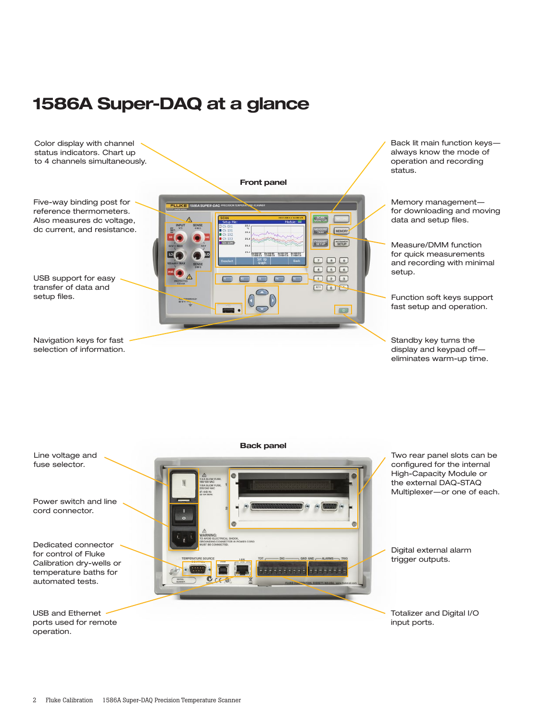# 1586A Super-DAQ at a glance



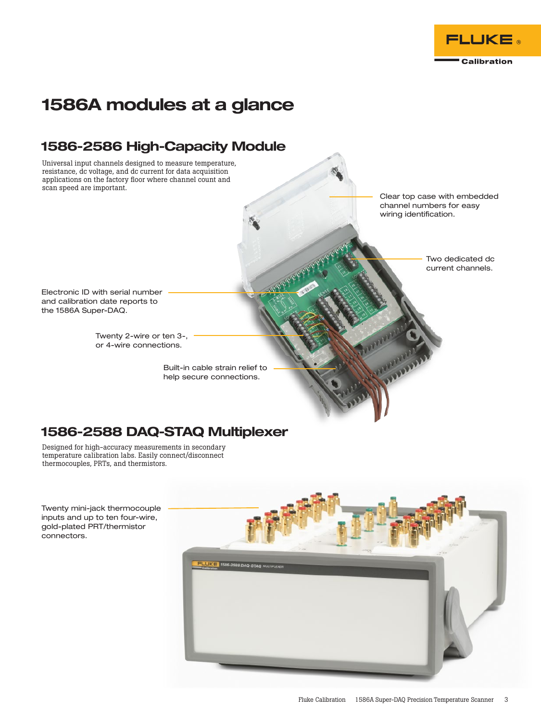

# 1586A modules at a glance

## 1586-2586 High-Capacity Module

Universal input channels designed to measure temperature, resistance, dc voltage, and dc current for data acquisition applications on the factory floor where channel count and scan speed are important.

Clear top case with embedded channel numbers for easy wiring identification.

> Two dedicated dc current channels.

Electronic ID with serial number and calibration date reports to the 1586A Super-DAQ.

> Twenty 2-wire or ten 3-, or 4-wire connections.

> > Built-in cable strain relief to help secure connections.

# 1586-2588 DAQ-STAQ Multiplexer

Designed for high-accuracy measurements in secondary temperature calibration labs. Easily connect/disconnect thermocouples, PRTs, and thermistors.

Twenty mini-jack thermocouple inputs and up to ten four-wire, gold-plated PRT/thermistor connectors.

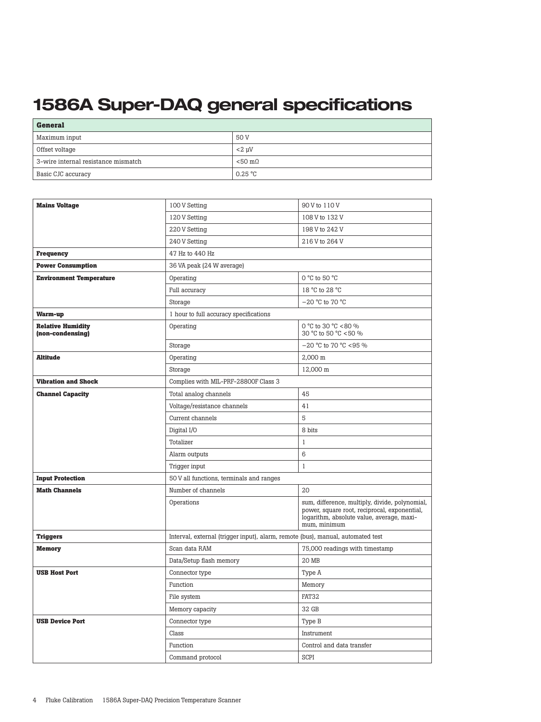# 1586A Super-DAQ general specifications

| <b>General</b>                      |                  |  |  |
|-------------------------------------|------------------|--|--|
| Maximum input                       | 50 V             |  |  |
| Offset voltage                      | $<$ 2 uV         |  |  |
| 3-wire internal resistance mismatch | $< 50 \text{ m}$ |  |  |
| Basic CJC accuracy                  | $0.25\text{ °C}$ |  |  |

| <b>Mains Voltage</b>                         | 100 V Setting                                                                   | 90 V to 110 V                                                                                                                                               |
|----------------------------------------------|---------------------------------------------------------------------------------|-------------------------------------------------------------------------------------------------------------------------------------------------------------|
|                                              | 120 V Setting                                                                   | 108 V to 132 V                                                                                                                                              |
|                                              | 220 V Setting                                                                   | 198 V to 242 V                                                                                                                                              |
|                                              | 240 V Setting                                                                   | 216 V to 264 V                                                                                                                                              |
| <b>Frequency</b>                             | 47 Hz to 440 Hz                                                                 |                                                                                                                                                             |
| <b>Power Consumption</b>                     | 36 VA peak (24 W average)                                                       |                                                                                                                                                             |
| <b>Environment Temperature</b>               | Operating                                                                       | 0 °C to 50 °C                                                                                                                                               |
|                                              | Full accuracy                                                                   | 18 °C to 28 °C                                                                                                                                              |
|                                              | Storage                                                                         | $-20$ °C to 70 °C                                                                                                                                           |
| Warm-up                                      | 1 hour to full accuracy specifications                                          |                                                                                                                                                             |
| <b>Relative Humidity</b><br>(non-condensing) | Operating                                                                       | 0 °C to 30 °C <80 %<br>30 °C to 50 °C <50 %                                                                                                                 |
|                                              | Storage                                                                         | $-20$ °C to 70 °C <95 %                                                                                                                                     |
| <b>Altitude</b>                              | Operating                                                                       | 2,000 m                                                                                                                                                     |
|                                              | Storage                                                                         | 12,000 m                                                                                                                                                    |
| <b>Vibration and Shock</b>                   | Complies with MIL-PRF-28800F Class 3                                            |                                                                                                                                                             |
| <b>Channel Capacity</b>                      | Total analog channels                                                           | 45                                                                                                                                                          |
|                                              | Voltage/resistance channels                                                     | 41                                                                                                                                                          |
|                                              | Current channels                                                                | 5                                                                                                                                                           |
|                                              | Digital I/O                                                                     | 8 bits                                                                                                                                                      |
|                                              | Totalizer                                                                       | $\mathbf{1}$                                                                                                                                                |
|                                              | Alarm outputs                                                                   | 6                                                                                                                                                           |
|                                              | Trigger input                                                                   | $\mathbf{1}$                                                                                                                                                |
| <b>Input Protection</b>                      | 50 V all functions, terminals and ranges                                        |                                                                                                                                                             |
| <b>Math Channels</b>                         | Number of channels                                                              | 20                                                                                                                                                          |
|                                              | Operations                                                                      | sum, difference, multiply, divide, polynomial,<br>power, square root, reciprocal, exponential,<br>logarithm, absolute value, average, maxi-<br>mum, minimum |
| <b>Triggers</b>                              | Interval, external (trigger input), alarm, remote (bus), manual, automated test |                                                                                                                                                             |
| <b>Memory</b>                                | Scan data RAM                                                                   | 75,000 readings with timestamp                                                                                                                              |
|                                              | Data/Setup flash memory                                                         | 20 MB                                                                                                                                                       |
| <b>USB Host Port</b>                         | Connector type                                                                  | Type A                                                                                                                                                      |
|                                              | Function                                                                        | Memory                                                                                                                                                      |
|                                              | File system                                                                     | FAT32                                                                                                                                                       |
|                                              | Memory capacity                                                                 | 32 GB                                                                                                                                                       |
| <b>USB Device Port</b>                       | Connector type                                                                  | Type B                                                                                                                                                      |
|                                              | Class                                                                           | Instrument                                                                                                                                                  |
|                                              | Function                                                                        | Control and data transfer                                                                                                                                   |
|                                              | Command protocol                                                                | SCPI                                                                                                                                                        |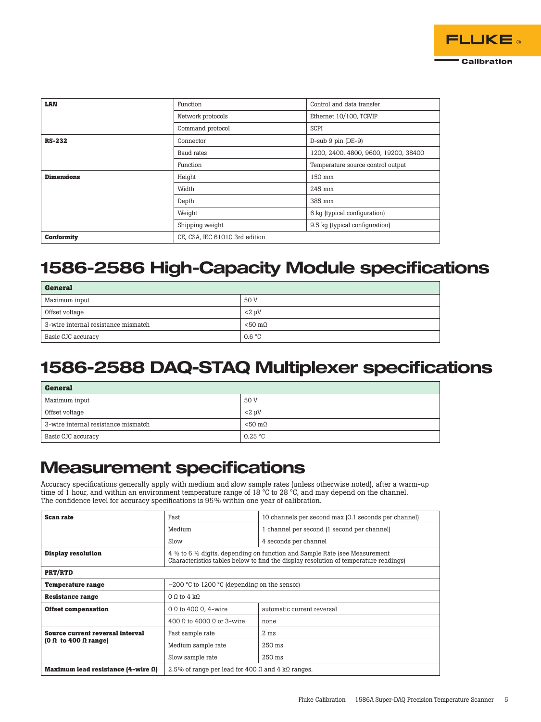| LAN               | Function                       | Control and data transfer            |  |
|-------------------|--------------------------------|--------------------------------------|--|
|                   | Network protocols              | Ethernet 10/100. TCP/IP              |  |
|                   | Command protocol               | <b>SCPI</b>                          |  |
| <b>RS-232</b>     | Connector                      | $D$ -sub 9 pin ( $DE-9$ )            |  |
|                   | Baud rates                     | 1200, 2400, 4800, 9600, 19200, 38400 |  |
|                   | Function                       | Temperature source control output    |  |
| <b>Dimensions</b> | Height                         | 150 mm                               |  |
|                   | 245 mm<br>Width                |                                      |  |
|                   | Depth                          | 385 mm                               |  |
|                   | Weight                         | 6 kg (typical configuration)         |  |
|                   | Shipping weight                | 9.5 kg (typical configuration)       |  |
| <b>Conformity</b> | CE, CSA, IEC 61010 3rd edition |                                      |  |

# 1586-2586 High-Capacity Module specifications

| <b>General</b>                      |                  |
|-------------------------------------|------------------|
| Maximum input                       | 50 V             |
| Offset voltage                      | $<$ 2 µ $V$      |
| 3-wire internal resistance mismatch | $< 50 \text{ m}$ |
| Basic CJC accuracy                  | 0.6 °C           |

# 1586-2588 DAQ-STAQ Multiplexer specifications

| <b>General</b>                      |                   |
|-------------------------------------|-------------------|
| Maximum input                       | 50 V              |
| Offset voltage                      | $< 2$ uV          |
| 3-wire internal resistance mismatch | $< 50$ m $\Omega$ |
| Basic CJC accuracy                  | 0.25 °C           |

# Measurement specifications

Accuracy specifications generally apply with medium and slow sample rates (unless otherwise noted), after a warm-up time of 1 hour, and within an environment temperature range of 18 °C to 28 °C, and may depend on the channel. The confidence level for accuracy specifications is 95% within one year of calibration.

| <b>Scan rate</b>                      | Fast                                                                                                                                                                                     | 10 channels per second max (0.1 seconds per channel) |  |
|---------------------------------------|------------------------------------------------------------------------------------------------------------------------------------------------------------------------------------------|------------------------------------------------------|--|
|                                       | Medium                                                                                                                                                                                   | 1 channel per second (1 second per channel)          |  |
|                                       | Slow                                                                                                                                                                                     | 4 seconds per channel                                |  |
| <b>Display resolution</b>             | $4\frac{1}{2}$ to 6 $\frac{1}{2}$ digits, depending on function and Sample Rate (see Measurement<br>Characteristics tables below to find the display resolution of temperature readings) |                                                      |  |
| <b>PRT/RTD</b>                        |                                                                                                                                                                                          |                                                      |  |
| <b>Temperature range</b>              | $-200$ °C to 1200 °C (depending on the sensor)                                                                                                                                           |                                                      |  |
| <b>Resistance range</b>               | $0.0$ to $4 k0$                                                                                                                                                                          |                                                      |  |
| <b>Offset compensation</b>            | 0 $\Omega$ to 400 $\Omega$ , 4-wire<br>automatic current reversal                                                                                                                        |                                                      |  |
|                                       | 400 0 to 4000 0 or 3-wire                                                                                                                                                                | none                                                 |  |
| Source current reversal interval      | Fast sample rate                                                                                                                                                                         | $2 \text{ ms}$                                       |  |
| (0 Ω to 400 Ω range)                  | Medium sample rate                                                                                                                                                                       | 250 ms                                               |  |
|                                       | Slow sample rate                                                                                                                                                                         | $250$ ms                                             |  |
| Maximum lead resistance $(4$ -wire Ω) | 2.5% of range per lead for 400 $\Omega$ and 4 k $\Omega$ ranges.                                                                                                                         |                                                      |  |

**FLUKE** 

Calibration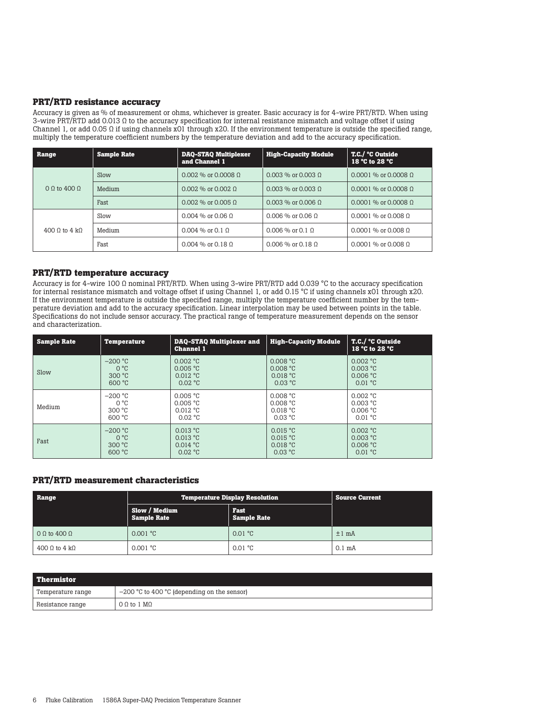#### **PRT/RTD resistance accuracy**

Accuracy is given as % of measurement or ohms, whichever is greater. Basic accuracy is for 4-wire PRT/RTD. When using 3-wire PRT/RTD add 0.013 Ω to the accuracy specification for internal resistance mismatch and voltage offset if using Channel 1, or add 0.05  $\Omega$  if using channels x01 through x20. If the environment temperature is outside the specified range, multiply the temperature coefficient numbers by the temperature deviation and add to the accuracy specification.

| Range         | <b>Sample Rate</b> | <b>DAQ-STAQ Multiplexer</b><br>and Channel 1 | <b>High-Capacity Module</b> | T.C./ °C Outside<br>18 $°C$ to 28 $°C$ |
|---------------|--------------------|----------------------------------------------|-----------------------------|----------------------------------------|
|               | Slow               | $0.002\%$ or 0.0008 0                        | $0.003\%$ or $0.003\%$      | $0.0001$ % or 0.0008 0                 |
| 0.0104000     | Medium             | $0.002\%$ or $0.002\%$                       | $0.003\%$ or $0.003\%$      | $0.0001$ % or 0.0008 0                 |
|               | Fast               | $0.002\%$ or $0.005$ Q                       | $0.003\%$ or 0.006 0        | $0.0001$ % or 0.0008 0                 |
|               | Slow               | $0.004\%$ or 0.06 0                          | $0.006\%$ or $0.06\%$       | $0.0001$ % or $0.008$ Q                |
| 400 0 to 4 k0 | Medium             | $0.004\%$ or $0.1\%$                         | $0.006\%$ or $0.1\Omega$    | $0.0001$ % or $0.008$ Q                |
|               | Fast               | $0.004\%$ or $0.18\%$                        | $0.006\%$ or $0.18\,0$      | $0.0001$ % or 0.008 0                  |

#### **PRT/RTD temperature accuracy**

Accuracy is for 4-wire 100 Ω nominal PRT/RTD. When using 3-wire PRT/RTD add 0.039 °C to the accuracy specification for internal resistance mismatch and voltage offset if using Channel 1, or add 0.15 °C if using channels x01 through x20. If the environment temperature is outside the specified range, multiply the temperature coefficient number by the temperature deviation and add to the accuracy specification. Linear interpolation may be used between points in the table. Specifications do not include sensor accuracy. The practical range of temperature measurement depends on the sensor and characterization.

| <b>Sample Rate</b> | <b>Temperature</b> | <b>DAQ-STAQ Multiplexer and</b><br><b>Channel 1</b> | High-Capacity Module | <b>T.C./ °C Outside</b><br>18 °C to 28 °C |
|--------------------|--------------------|-----------------------------------------------------|----------------------|-------------------------------------------|
| Slow               | $-200$ °C          | 0.002 °C                                            | 0.008 °C             | 0.002 °C                                  |
|                    | $O^{\circ}C$       | 0.005 °C                                            | 0.008 °C             | 0.003 °C                                  |
|                    | 300 °C             | 0.012 °C                                            | 0.018 °C             | 0.006 °C                                  |
|                    | 600 °C             | 0.02 °C                                             | 0.03 °C              | 0.01 °C                                   |
| Medium             | $-200$ °C          | 0.005 °C                                            | 0.008 °C             | 0.002 °C                                  |
|                    | $0^{\circ}$ C      | 0.005 °C                                            | 0.008 °C             | 0.003 °C                                  |
|                    | 300 °C             | 0.012 °C                                            | 0.018 °C             | 0.006 °C                                  |
|                    | 600 °C             | $0.02 \text{ °C}$                                   | $0.03 \text{ °C}$    | 0.01 °C                                   |
| Fast               | $-200$ °C          | 0.013 °C                                            | 0.015 °C             | 0.002 °C                                  |
|                    | $O^{\circ}C$       | 0.013 °C                                            | 0.015 °C             | 0.003 °C                                  |
|                    | 300 °C             | 0.014 °C                                            | 0.018 °C             | 0.006 °C                                  |
|                    | 600 °C             | 0.02 °C                                             | 0.03 °C              | 0.01 °C                                   |

### **PRT/RTD measurement characteristics**

| Range          | <b>Temperature Display Resolution</b>                             | <b>Source Current</b> |                   |
|----------------|-------------------------------------------------------------------|-----------------------|-------------------|
|                | Slow / Medium<br>Fast<br><b>Sample Rate</b><br><b>Sample Rate</b> |                       |                   |
| $0$ Ω to 400 Ω | 0.001 °C                                                          | $0.01 \text{ °C}$     | $±1$ mÅ           |
| 400 Ω to 4 kΩ  | 0.001 °C                                                          | $0.01 \text{ °C}$     | 0.1 <sub>mA</sub> |

| l Thermistor      |                                               |
|-------------------|-----------------------------------------------|
| Temperature range | $-200$ °C to 400 °C (depending on the sensor) |
| Resistance range  | $0.0$ to $1 \text{ M}$ $0.0$                  |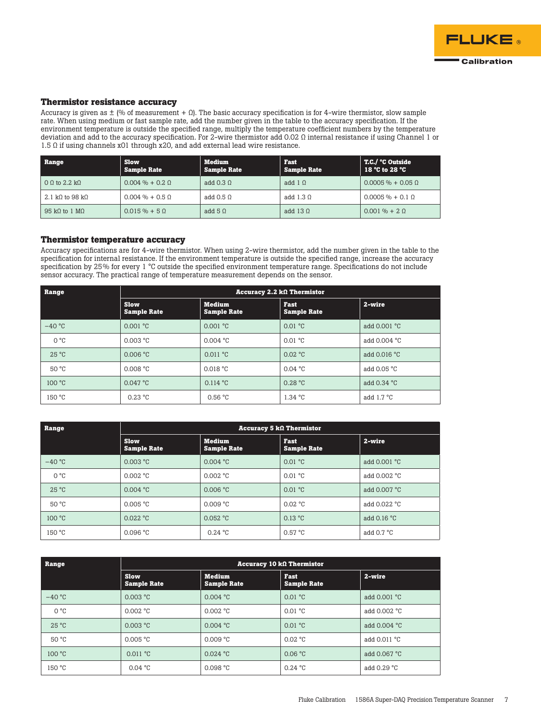

#### **Thermistor resistance accuracy**

Accuracy is given as  $\pm$  (% of measurement +  $\Omega$ ). The basic accuracy specification is for 4-wire thermistor, slow sample rate. When using medium or fast sample rate, add the number given in the table to the accuracy specification. If the environment temperature is outside the specified range, multiply the temperature coefficient numbers by the temperature deviation and add to the accuracy specification. For 2-wire thermistor add 0.02 Ω internal resistance if using Channel 1 or 1.5 Ω if using channels x01 through x20, and add external lead wire resistance.

| Range              | <b>Slow</b><br><b>Sample Rate</b> | <b>Medium</b><br><b>Sample Rate</b> | Fast<br><b>Sample Rate</b> | T.C./ °C Outside<br>18 °C to 28 °C |
|--------------------|-----------------------------------|-------------------------------------|----------------------------|------------------------------------|
| $0.0$ to 2.2 k $0$ | $0.004\% + 0.20$                  | add $0.30$                          | add $1 \Omega$             | $0.0005\% + 0.050$                 |
| 2.1 kQ to 98 kQ    | $0.004\% + 0.50$                  | add $0.50$                          | add $1.30$                 | $0.0005\% + 0.10$                  |
| 95 kQ to 1 MQ      | $0.015\% + 5.0$                   | add $5 \Omega$                      | add $13 \Omega$            | $0.001\% + 2.0$                    |

#### **Thermistor temperature accuracy**

Accuracy specifications are for 4-wire thermistor. When using 2-wire thermistor, add the number given in the table to the specification for internal resistance. If the environment temperature is outside the specified range, increase the accuracy specification by 25% for every 1 °C outside the specified environment temperature range. Specifications do not include sensor accuracy. The practical range of temperature measurement depends on the sensor.

| Range          | Accuracy 2.2 $k\Omega$ Thermistor |                                     |                            |                      |
|----------------|-----------------------------------|-------------------------------------|----------------------------|----------------------|
|                | <b>Slow</b><br><b>Sample Rate</b> | <b>Medium</b><br><b>Sample Rate</b> | Fast<br><b>Sample Rate</b> | 2-wire               |
| $-40 °C$       | 0.001 °C                          | 0.001 °C                            | 0.01 °C                    | add $0.001$ °C       |
| $O^{\circ}C$   | 0.003 °C                          | 0.004 °C                            | 0.01 °C                    | add 0.004 °C         |
| $25^{\circ}$ C | 0.006 °C                          | 0.011 °C                            | 0.02 °C                    | add 0.016 °C         |
| 50 °C          | 0.008 °C                          | 0.018 °C                            | $0.04 \text{ °C}$          | add $0.05 \degree C$ |
| 100 °C         | $0.047$ °C                        | 0.114 °C                            | 0.28 °C                    | add 0.34 °C          |
| 150 °C         | 0.23 °C                           | 0.56 °C                             | 1.34 °C                    | add $1.7 \degree C$  |

| Range          | Accuracy 5 $k\Omega$ Thermistor   |                                     |                                   |                     |
|----------------|-----------------------------------|-------------------------------------|-----------------------------------|---------------------|
|                | <b>Slow</b><br><b>Sample Rate</b> | <b>Medium</b><br><b>Sample Rate</b> | <b>Fast</b><br><b>Sample Rate</b> | 2-wire              |
| $-40 °C$       | 0.003 °C                          | 0.004 °C                            | 0.01 °C                           | add 0.001 °C        |
| $O^{\circ}C$   | 0.002 °C                          | 0.002 °C                            | $0.01 \text{ °C}$                 | add 0.002 °C        |
| $25^{\circ}$ C | 0.004 °C                          | 0.006 °C                            | 0.01 °C                           | add 0.007 °C        |
| 50 °C          | 0.005 °C                          | 0.009 °C                            | $0.02 \text{ °C}$                 | add 0.022 °C        |
| 100 °C         | 0.022 °C                          | 0.052 °C                            | $0.13 \text{ °C}$                 | add $0.16 °C$       |
| 150 °C         | 0.096 °C                          | 0.24 °C                             | 0.57 °C                           | add $0.7 \degree C$ |

| Range          | $Accuracy 10 k\Omega$ Thermistor  |                                     |                                   |                |
|----------------|-----------------------------------|-------------------------------------|-----------------------------------|----------------|
|                | <b>Slow</b><br><b>Sample Rate</b> | <b>Medium</b><br><b>Sample Rate</b> | <b>Fast</b><br><b>Sample Rate</b> | 2-wire         |
| $-40 °C$       | 0.003 °C                          | 0.004 °C                            | 0.01 °C                           | add $0.001$ °C |
| $O^{\circ}C$   | 0.002 °C                          | 0.002 °C                            | 0.01 °C                           | add 0.002 °C   |
| $25^{\circ}$ C | 0.003 °C                          | 0.004 °C                            | 0.01 °C                           | add 0.004 °C   |
| 50 °C          | 0.005 °C                          | 0.009 °C                            | $0.02 \text{ °C}$                 | add 0.011 °C   |
| 100 °C         | 0.011 °C                          | 0.024 °C                            | 0.06 °C                           | add 0.067 °C   |
| 150 °C         | 0.04 °C                           | 0.098 °C                            | 0.24 °C                           | add 0.29 °C    |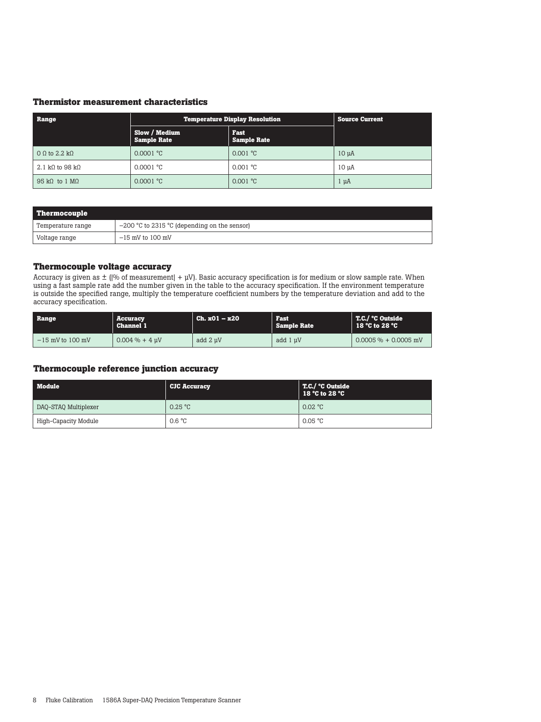#### **Thermistor measurement characteristics**

| Range                         | <b>Temperature Display Resolution</b> | <b>Source Current</b>             |                  |
|-------------------------------|---------------------------------------|-----------------------------------|------------------|
|                               | Slow / Medium<br><b>Sample Rate</b>   | <b>Fast</b><br><b>Sample Rate</b> |                  |
| $0 \Omega$ to 2.2 k $\Omega$  | 0.0001 °C                             | 0.001 °C                          | 10 <sub>uA</sub> |
| 2.1 kQ to 98 kQ               | 0.0001 °C                             | 0.001 °C                          | 10 uA            |
| 95 k $\Omega$ to 1 M $\Omega$ | 0.0001 °C                             | 0.001 °C                          | $1 \mu A$        |

| Thermocouple      |                                                |
|-------------------|------------------------------------------------|
| Temperature range | $-200$ °C to 2315 °C (depending on the sensor) |
| Voltage range     | $-15$ mV to 100 mV                             |

### **Thermocouple voltage accuracy**

Accuracy is given as ± (|% of measurement| + μV). Basic accuracy specification is for medium or slow sample rate. When using a fast sample rate add the number given in the table to the accuracy specification. If the environment temperature is outside the specified range, multiply the temperature coefficient numbers by the temperature deviation and add to the accuracy specification.

| Range              | Accuracy<br><b>Channel 1</b> | $Ch. x01 - x20$ | Fast<br><b>Sample Rate</b> | T.C./ °C Outside<br>$18°C$ to $28°C$ |
|--------------------|------------------------------|-----------------|----------------------------|--------------------------------------|
| $-15$ mV to 100 mV | $0.004\% + 4$ uV             | add 2 uV        | add 1 uV                   | $0.0005\% + 0.0005$ mV               |

#### **Thermocouple reference junction accuracy**

| Module               | <b>CJC Accuracy</b> | T.C./ °C Outside<br>18 °C to 28 °C |
|----------------------|---------------------|------------------------------------|
| DAQ-STAQ Multiplexer | $0.25 \text{ °C}$   | 0.02 °C                            |
| High-Capacity Module | 0.6 °C              | 0.05 °C                            |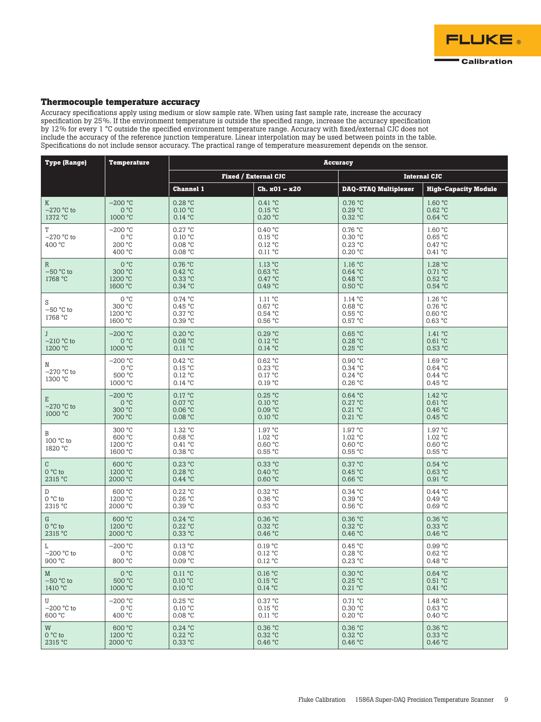

#### **Thermocouple temperature accuracy**

Accuracy specifications apply using medium or slow sample rate. When using fast sample rate, increase the accuracy specification by 25%. If the environment temperature is outside the specified range, increase the accuracy specification by 12% for every 1 °C outside the specified environment temperature range. Accuracy with fixed/external CJC does not include the accuracy of the reference junction temperature. Linear interpolation may be used between points in the table. Specifications do not include sensor accuracy. The practical range of temperature measurement depends on the sensor.

| <b>Type (Range)</b>                    | <b>Temperature</b>                     |                                          | <b>Accuracy</b>                          |                                          |                                          |  |
|----------------------------------------|----------------------------------------|------------------------------------------|------------------------------------------|------------------------------------------|------------------------------------------|--|
|                                        |                                        |                                          | <b>Fixed / External CJC</b>              |                                          | <b>Internal CJC</b>                      |  |
|                                        |                                        | <b>Channel 1</b>                         | $Ch. xO1 - x2O$                          | <b>DAQ-STAQ Multiplexer</b>              | <b>High-Capacity Module</b>              |  |
| K                                      | $-200 °C$                              | 0.28 °C                                  | 0.41 °C                                  | 0.76 °C                                  | 1.60 °C                                  |  |
| $-270$ °C to                           | 0 °C                                   | 0.10 °C                                  | 0.15 °C                                  | 0.29 °C                                  | 0.62 °C                                  |  |
| 1372 °C                                | 1000 °C                                | 0.14 °C                                  | 0.20 °C                                  | 0.32 °C                                  | 0.64 °C                                  |  |
| $\mathbb T$<br>$-270$ °C to<br>400 °C  | $-200 °C$<br>0°C<br>200 °C<br>400 °C   | 0.27 °C<br>0.10 °C<br>0.08 °C<br>0.08 °C | 0.40 °C<br>0.15 °C<br>0.12 °C<br>0.11 °C | 0.76 °C<br>0.30 °C<br>0.23 °C<br>0.20 °C | 1.60 °C<br>0.65 °C<br>0.47 °C<br>0.41 °C |  |
| $\mathbb{R}$<br>$-50$ °C to<br>1768 °C | 0°C<br>300 °C<br>1200 °C<br>1600 °C    | 0.76 °C<br>0.42 °C<br>0.33 °C<br>0.34 °C | 1.13 °C<br>0.63 °C<br>0.47 °C<br>0.49 °C | 1.16 °C<br>0.64 °C<br>0.48 °C<br>0.50 °C | 1.28 °C<br>0.71 °C<br>0.52 °C<br>0.54 °C |  |
| S<br>$-50$ °C to<br>1768 °C            | 0°C<br>300 °C<br>1200 °C<br>1600 °C    | 0.74 °C<br>0.45 °C<br>0.37 °C<br>0.39 °C | 1.11 °C<br>0.67 °C<br>0.54 °C<br>0.56 °C | 1.14 °C<br>0.68 °C<br>0.55 °C<br>0.57 °C | 1.26 °C<br>0.76 °C<br>0.60 °C<br>0.63 °C |  |
| J                                      | $-200$ °C                              | 0.20 °C                                  | 0.29 °C                                  | 0.65 °C                                  | 1.41 °C                                  |  |
| $-210$ °C to                           | $O^{\circ}C$                           | 0.08 °C                                  | 0.12 °C                                  | 0.28 °C                                  | 0.61 °C                                  |  |
| 1200 °C                                | 1000 °C                                | 0.11 °C                                  | 0.14 °C                                  | 0.25 °C                                  | 0.53 °C                                  |  |
| N<br>$-270$ °C to<br>1300 °C           | $-200 °C$<br>0°C<br>500 °C<br>1000 °C  | 0.42 °C<br>0.15 °C<br>0.12 °C<br>0.14 °C | 0.62 °C<br>0.23 °C<br>0.17 °C<br>0.19 °C | 0.90 °C<br>0.34 °C<br>0.24 °C<br>0.26 °C | 1.69 °C<br>0.64 °C<br>0.44 °C<br>0.45 °C |  |
| E<br>$-270$ °C to<br>1000 °C           | $-200 °C$<br>0°C<br>300 °C<br>700 °C   | 0.17 °C<br>0.07 °C<br>0.06 °C<br>0.08 °C | 0.25 °C<br>0.10 °C<br>0.09 °C<br>0.10 °C | 0.64 °C<br>0.27 °C<br>0.21 °C<br>0.21 °C | 1.42 °C<br>0.61 °C<br>0.46 °C<br>0.45 °C |  |
| B<br>100 °C to<br>1820 °C              | 300 °C<br>600 °C<br>1200 °C<br>1600 °C | 1.32 °C<br>0.68 °C<br>0.41 °C<br>0.38 °C | 1.97 °C<br>1.02 °C<br>0.60 °C<br>0.55 °C | 1.97 °C<br>1.02 °C<br>0.60 °C<br>0.55 °C | 1.97 °C<br>1.02 °C<br>0.60 °C<br>0.55 °C |  |
| $\rm{C}$                               | 600 °C                                 | 0.23 °C                                  | $0.33$ °C                                | 0.37 °C                                  | 0.54 °C                                  |  |
| $0 °C$ to                              | 1200 °C                                | 0.28 °C                                  | 0.40 °C                                  | 0.45 °C                                  | 0.63 °C                                  |  |
| 2315 °C                                | 2000 °C                                | 0.44 °C                                  | 0.60 °C                                  | 0.66 °C                                  | 0.91 °C                                  |  |
| D                                      | 600 °C                                 | 0.22 °C                                  | 0.32 °C                                  | 0.34 °C                                  | 0.44 °C                                  |  |
| $0 °C$ to                              | 1200 °C                                | 0.26 °C                                  | 0.36 °C                                  | 0.39 °C                                  | 0.49 °C                                  |  |
| 2315 °C                                | 2000 °C                                | 0.39 °C                                  | 0.53 °C                                  | 0.56 °C                                  | 0.69 °C                                  |  |
| G                                      | 600 °C                                 | $0.24$ °C                                | 0.36 °C                                  | 0.36 °C                                  | 0.36 °C                                  |  |
| $0 °C$ to                              | 1200 °C                                | 0.22 °C                                  | 0.32 °C                                  | 0.32 °C                                  | 0.33 °C                                  |  |
| 2315 °C                                | 2000 °C                                | 0.33 °C                                  | 0.46 °C                                  | 0.46 °C                                  | 0.46 °C                                  |  |
| L                                      | $-200 °C$                              | 0.13 °C                                  | 0.19 °C                                  | 0.45 °C                                  | 0.99 °C                                  |  |
| $-200$ °C to                           | 0°C                                    | 0.08 °C                                  | 0.12 °C                                  | 0.28 °C                                  | 0.62 °C                                  |  |
| 900 °C                                 | 800 °C                                 | 0.09 °C                                  | 0.12 °C                                  | 0.23 °C                                  | 0.48 °C                                  |  |
| $\mathbf M$                            | 0 °C                                   | 0.11 °C                                  | 0.16 °C                                  | 0.30 °C                                  | 0.64 °C                                  |  |
| $-50$ °C to                            | 500 °C                                 | 0.10 °C                                  | 0.15 °C                                  | 0.25 °C                                  | 0.51 °C                                  |  |
| 1410 °C                                | 1000 °C                                | 0.10 °C                                  | 0.14 °C                                  | 0.21 °C                                  | 0.41 °C                                  |  |
| U                                      | $-200 °C$                              | 0.25 °C                                  | 0.37 °C                                  | 0.71 °C                                  | 1.48 °C                                  |  |
| $-200$ °C to                           | 0 °C                                   | 0.10 °C                                  | 0.15 °C                                  | 0.30 °C                                  | 0.63 °C                                  |  |
| 600 °C                                 | 400 °C                                 | 0.08 °C                                  | 0.11 °C                                  | 0.20 °C                                  | 0.40 °C                                  |  |
| W                                      | 600 °C                                 | 0.24 °C                                  | 0.36 °C                                  | 0.36 °C                                  | 0.36 °C                                  |  |
| $0 °C$ to                              | 1200 °C                                | 0.22 °C                                  | 0.32 °C                                  | 0.32 °C                                  | $0.33$ °C                                |  |
| 2315 °C                                | 2000 °C                                | 0.33 °C                                  | 0.46 °C                                  | 0.46 °C                                  | 0.46 °C                                  |  |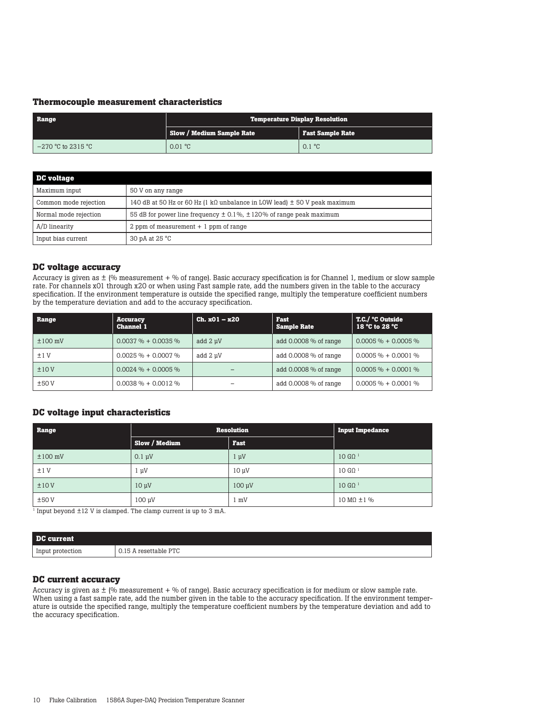#### **Thermocouple measurement characteristics**

| Range                | <b>Temperature Display Resolution</b> |                         |  |
|----------------------|---------------------------------------|-------------------------|--|
|                      | <b>Slow / Medium Sample Rate</b>      | Fast Sample Rate        |  |
| $-270$ °C to 2315 °C | $0.01 \text{ °C}$                     | $0.1 \text{ }^{\circ}C$ |  |

| <b>DC</b> voltage     |                                                                               |
|-----------------------|-------------------------------------------------------------------------------|
| Maximum input         | 50 V on any range                                                             |
| Common mode rejection | 140 dB at 50 Hz or 60 Hz (1 kQ unbalance in LOW lead) $\pm$ 50 V peak maximum |
| Normal mode rejection | 55 dB for power line frequency $\pm$ 0.1%, $\pm$ 120% of range peak maximum   |
| A/D linearity         | 2 ppm of measurement $+1$ ppm of range                                        |
| Input bias current    | 30 pA at $25 °C$                                                              |

#### **DC voltage accuracy**

Accuracy is given as  $\pm$  (% measurement + % of range). Basic accuracy specification is for Channel 1, medium or slow sample rate. For channels x01 through x20 or when using Fast sample rate, add the numbers given in the table to the accuracy specification. If the environment temperature is outside the specified range, multiply the temperature coefficient numbers by the temperature deviation and add to the accuracy specification.

| Range        | <b>Accuracy</b><br><b>Channel 1</b> | $Ch. x01 - x20$ | Fast<br><b>Sample Rate</b> | T.C./ °C Outside<br>18 °C to 28 °C |
|--------------|-------------------------------------|-----------------|----------------------------|------------------------------------|
| $\pm 100$ mV | $0.0037\% + 0.0035\%$               | add 2 µV        | add $0.0008\%$ of range    | $0.0005\% + 0.0005\%$              |
| ±1V          | $0.0025 \% + 0.0007 \%$             | add 2 µV        | add $0.0008\%$ of range    | $0.0005\% + 0.0001\%$              |
| ±10V         | $0.0024 \% + 0.0005 \%$             |                 | add $0.0008\%$ of range    | $0.0005\% + 0.0001\%$              |
| ±50V         | $0.0038\% + 0.0012\%$               |                 | add $0.0008\%$ of range    | $0.0005\% + 0.0001\%$              |

#### **DC voltage input characteristics**

| Range        | <b>Resolution</b> |                | <b>Input Impedance</b>            |
|--------------|-------------------|----------------|-----------------------------------|
|              | Slow / Medium     | Fast           |                                   |
| $\pm 100$ mV | $0.1 \mu V$       | $1 \mu V$      | $10 \text{ G}\Omega$ <sup>1</sup> |
| ±1V          | $1 \mu V$         | $10 \mu V$     | $10 \text{ G}\Omega$ <sup>1</sup> |
| ±10V         | $10 \mu V$        | $100 \mu V$    | $10 \text{ G}\Omega$ <sup>1</sup> |
| ±50V         | $100 \mu V$       | $1 \text{ mV}$ | $10 \text{ M}\Omega \pm 1\%$      |

1 Input beyond ±12 V is clamped. The clamp current is up to 3 mA.

| DC current       |                       |
|------------------|-----------------------|
| Input protection | 0.15 A resettable PTC |

#### **DC current accuracy**

Accuracy is given as  $\pm$  (% measurement + % of range). Basic accuracy specification is for medium or slow sample rate. When using a fast sample rate, add the number given in the table to the accuracy specification. If the environment temperature is outside the specified range, multiply the temperature coefficient numbers by the temperature deviation and add to the accuracy specification.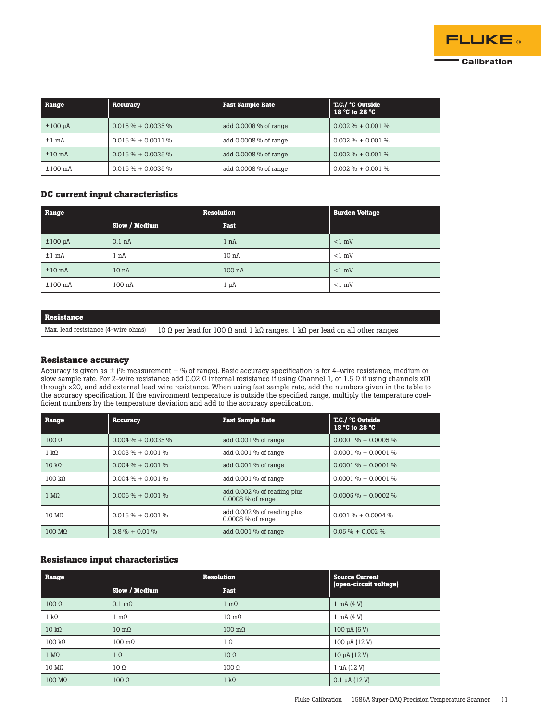

| Range             | <b>Accuracy</b>      | <b>Fast Sample Rate</b> | T.C./ °C Outside<br>18 °C to 28 °C |
|-------------------|----------------------|-------------------------|------------------------------------|
| $\pm 100$ $\mu$ A | $0.015\% + 0.0035\%$ | add $0.0008\%$ of range | $0.002\% + 0.001\%$                |
| $±1$ mÅ           | $0.015\% + 0.0011\%$ | add $0.0008\%$ of range | $0.002\% + 0.001\%$                |
| $±10$ mÅ          | $0.015\% + 0.0035\%$ | add $0.0008\%$ of range | $0.002\% + 0.001\%$                |
| $±100$ mA         | $0.015\% + 0.0035\%$ | add $0.0008\%$ of range | $0.002\% + 0.001\%$                |

#### **DC current input characteristics**

| Range             | <b>Resolution</b> |                    | <b>Burden Voltage</b> |  |
|-------------------|-------------------|--------------------|-----------------------|--|
|                   | Slow / Medium     | <b>Fast</b>        |                       |  |
| $\pm 100$ $\mu$ A | 0.1 <sub>nA</sub> | 1 nA               | $< 1$ mV              |  |
| $±1$ mÅ           | 1 nA              | 10 <sub>nA</sub>   | $< 1$ mV              |  |
| $±10$ mA          | 10 <sub>nA</sub>  | 100 <sub>n</sub> A | $< 1$ mV              |  |
| $±100$ mA         | 100 nA            | $1 \mu A$          | $< 1$ mV              |  |

## **Resistance** Max. lead resistance (4-wire ohms) 10 Ω per lead for 100 Ω and 1 kΩ ranges. 1 kΩ per lead on all other ranges

#### **Resistance accuracy**

Accuracy is given as  $\pm$  (% measurement + % of range). Basic accuracy specification is for 4-wire resistance, medium or slow sample rate. For 2-wire resistance add 0.02 Ω internal resistance if using Channel 1, or 1.5 Ω if using channels x01 through x20, and add external lead wire resistance. When using fast sample rate, add the numbers given in the table to the accuracy specification. If the environment temperature is outside the specified range, multiply the temperature coefficient numbers by the temperature deviation and add to the accuracy specification.

| Range             | <b>Accuracy</b>      | <b>Fast Sample Rate</b>                            | T.C./ °C Outside<br>18 °C to 28 °C |
|-------------------|----------------------|----------------------------------------------------|------------------------------------|
| 100 <sub>0</sub>  | $0.004\% + 0.0035\%$ | add $0.001\%$ of range                             | $0.0001\% + 0.0005\%$              |
| 1 kQ              | $0.003\% + 0.001\%$  | add 0.001 % of range                               | $0.0001\% + 0.0001\%$              |
| 10 k <sub>0</sub> | $0.004\% + 0.001\%$  | add 0.001 % of range                               | $0.0001\% + 0.0001\%$              |
| 100 k             | $0.004\% + 0.001\%$  | add $0.001\%$ of range                             | $0.0001\% + 0.0001\%$              |
| 1 MQ              | $0.006\% + 0.001\%$  | add 0.002 % of reading plus<br>$0.0008\%$ of range | $0.0005\% + 0.0002\%$              |
| 10 MQ             | $0.015\% + 0.001\%$  | add 0.002 % of reading plus<br>0.0008 % of range   | $0.001\% + 0.0004\%$               |
| 100 MQ            | $0.8\% + 0.01\%$     | add 0.001 % of range                               | $0.05\% + 0.002\%$                 |

#### **Resistance input characteristics**

| Range                 |                       | <b>Resolution</b><br><b>Source Current</b> |                              |
|-----------------------|-----------------------|--------------------------------------------|------------------------------|
|                       | Slow / Medium         | <b>Fast</b>                                | (open-circuit voltage)       |
| $100 \Omega$          | $0.1 \text{ m}\Omega$ | $m\Omega$                                  | $1 \text{ mA} (4 \text{ V})$ |
| $1 k\Omega$           | $1 \text{ m}\Omega$   | $10 \text{ m}\Omega$                       | $1 \text{ mA} (4 \text{ V})$ |
| $10 \text{ k}\Omega$  | $10 \text{ m}\Omega$  | $100 \text{ m}$                            | 100 $\mu$ A (6 V)            |
| $100 \text{ k}\Omega$ | $100 \text{ m}\Omega$ | $1 \Omega$                                 | 100 µA (12 V)                |
| $1 M\Omega$           | $1 \Omega$            | $10 \Omega$                                | $10 \mu A (12 V)$            |
| $10 \text{ M}\Omega$  | $10 \Omega$           | $100 \Omega$                               | $1 \mu A (12 V)$             |
| $100 \text{ M}\Omega$ | $100 \Omega$          | $1 \text{ k}\Omega$                        | $0.1 \mu A (12 V)$           |